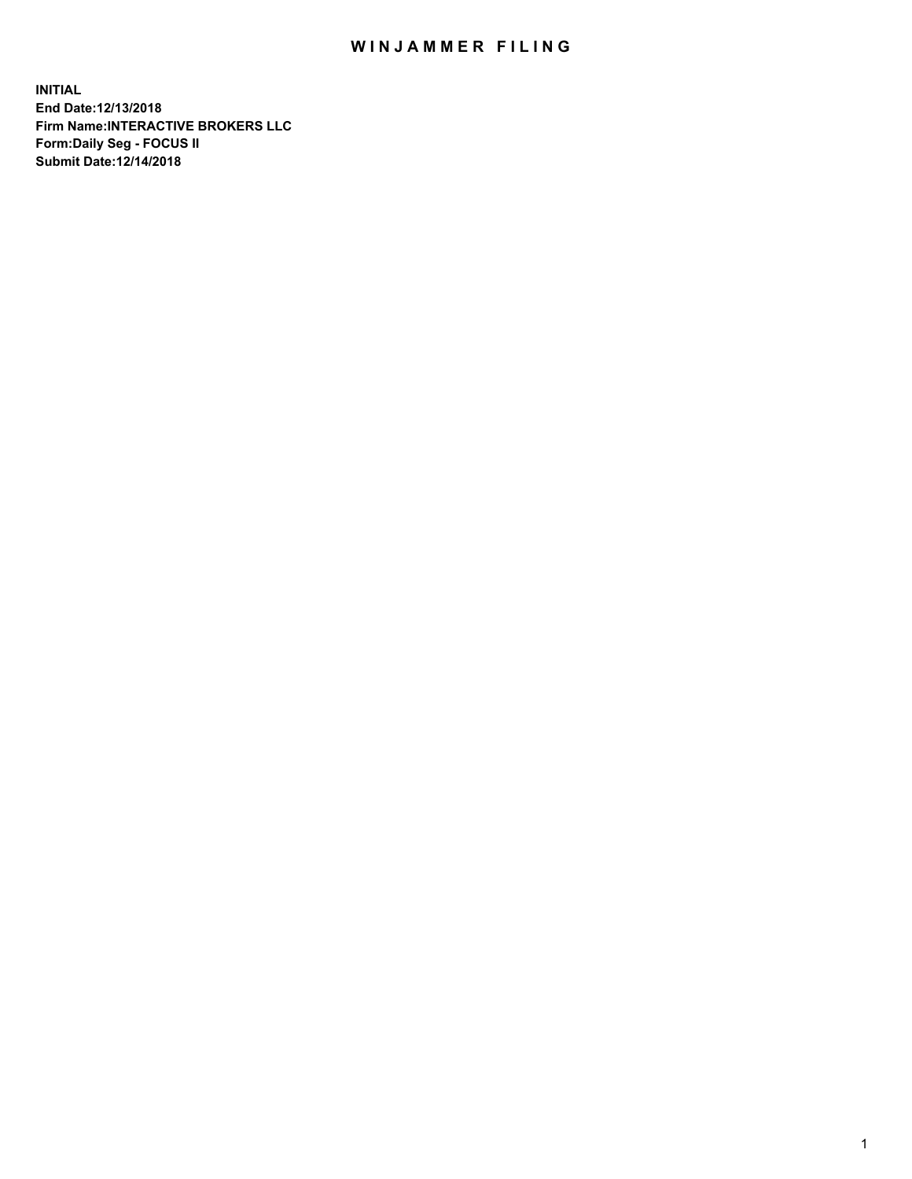## WIN JAMMER FILING

**INITIAL End Date:12/13/2018 Firm Name:INTERACTIVE BROKERS LLC Form:Daily Seg - FOCUS II Submit Date:12/14/2018**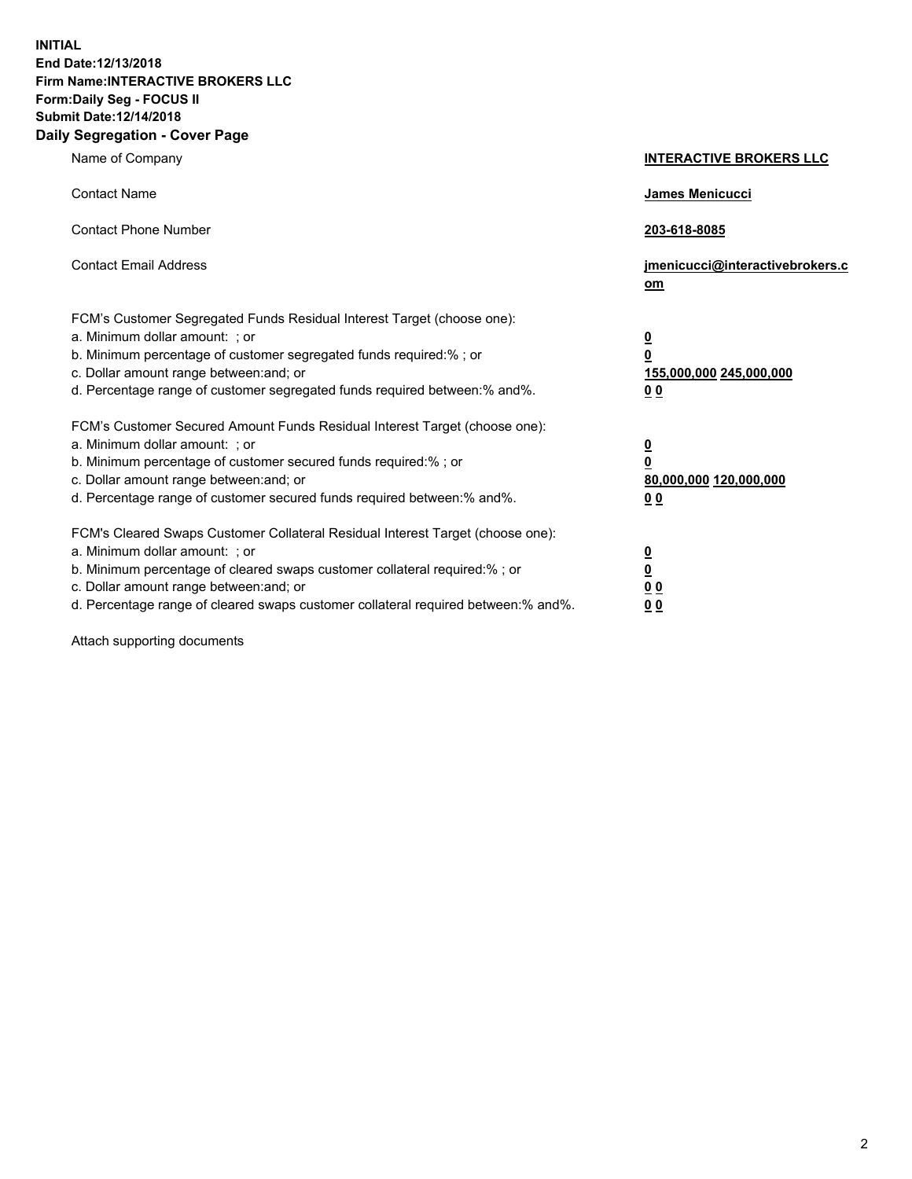**INITIAL End Date:12/13/2018 Firm Name:INTERACTIVE BROKERS LLC Form:Daily Seg - FOCUS II Submit Date:12/14/2018 Daily Segregation - Cover Page**

| Name of Company                                                                                                                                                                                                                                                                                                                | <b>INTERACTIVE BROKERS LLC</b>                                                                  |
|--------------------------------------------------------------------------------------------------------------------------------------------------------------------------------------------------------------------------------------------------------------------------------------------------------------------------------|-------------------------------------------------------------------------------------------------|
| <b>Contact Name</b>                                                                                                                                                                                                                                                                                                            | James Menicucci                                                                                 |
| <b>Contact Phone Number</b>                                                                                                                                                                                                                                                                                                    | 203-618-8085                                                                                    |
| <b>Contact Email Address</b>                                                                                                                                                                                                                                                                                                   | jmenicucci@interactivebrokers.c<br>om                                                           |
| FCM's Customer Segregated Funds Residual Interest Target (choose one):<br>a. Minimum dollar amount: ; or<br>b. Minimum percentage of customer segregated funds required:% ; or<br>c. Dollar amount range between: and; or<br>d. Percentage range of customer segregated funds required between:% and%.                         | $\overline{\mathbf{0}}$<br>$\overline{\mathbf{0}}$<br>155,000,000 245,000,000<br>0 <sub>0</sub> |
| FCM's Customer Secured Amount Funds Residual Interest Target (choose one):<br>a. Minimum dollar amount: ; or<br>b. Minimum percentage of customer secured funds required:%; or<br>c. Dollar amount range between: and; or<br>d. Percentage range of customer secured funds required between:% and%.                            | $\overline{\mathbf{0}}$<br>$\overline{\mathbf{0}}$<br>80,000,000 120,000,000<br>0 <sub>0</sub>  |
| FCM's Cleared Swaps Customer Collateral Residual Interest Target (choose one):<br>a. Minimum dollar amount: ; or<br>b. Minimum percentage of cleared swaps customer collateral required:% ; or<br>c. Dollar amount range between: and; or<br>d. Percentage range of cleared swaps customer collateral required between:% and%. | $\overline{\mathbf{0}}$<br>$\underline{\mathbf{0}}$<br>0 <sub>0</sub><br>0 <sub>0</sub>         |

Attach supporting documents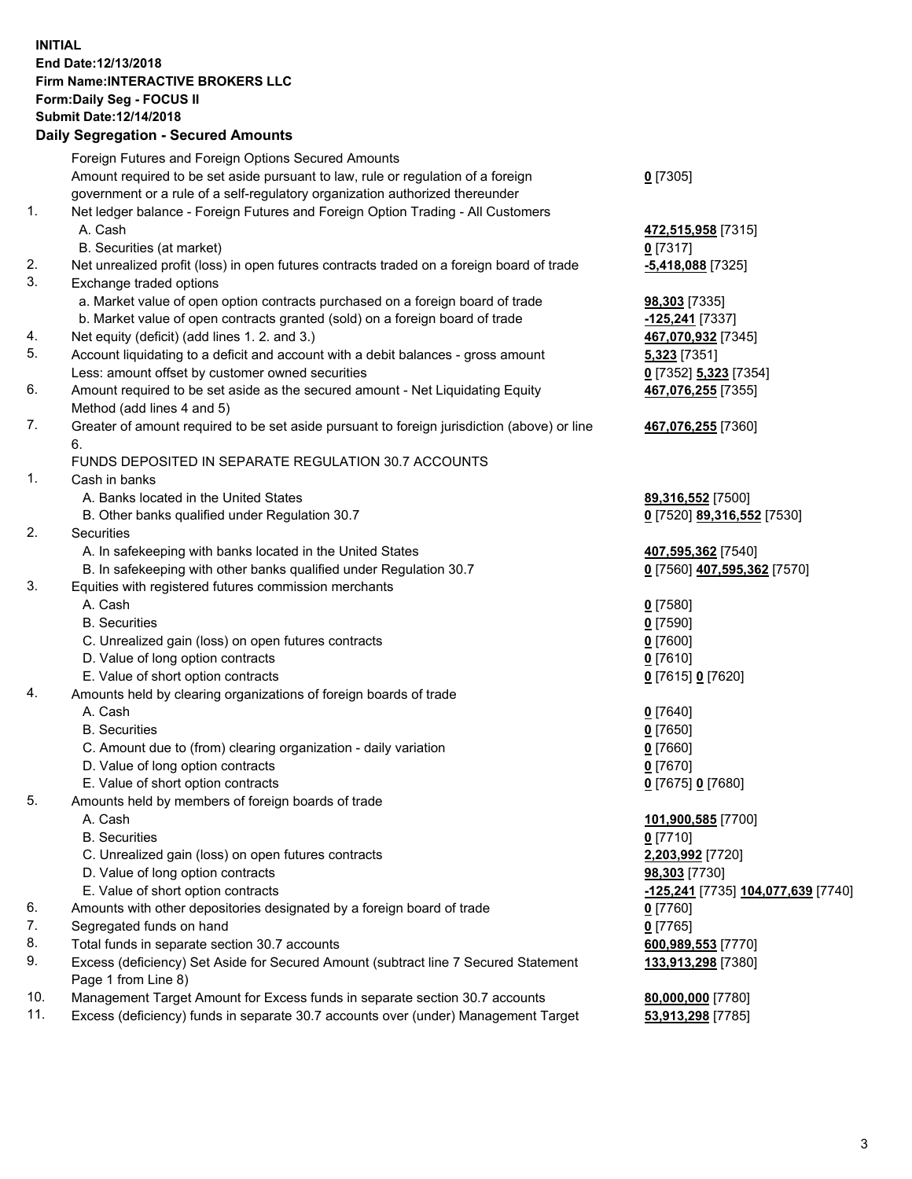## **INITIAL End Date:12/13/2018 Firm Name:INTERACTIVE BROKERS LLC Form:Daily Seg - FOCUS II Submit Date:12/14/2018 Daily Segregation - Secured Amounts**

|     | Dally Segregation - Secured Amounts                                                         |                                    |
|-----|---------------------------------------------------------------------------------------------|------------------------------------|
|     | Foreign Futures and Foreign Options Secured Amounts                                         |                                    |
|     | Amount required to be set aside pursuant to law, rule or regulation of a foreign            | $0$ [7305]                         |
|     | government or a rule of a self-regulatory organization authorized thereunder                |                                    |
| 1.  | Net ledger balance - Foreign Futures and Foreign Option Trading - All Customers             |                                    |
|     | A. Cash                                                                                     | 472,515,958 [7315]                 |
|     | B. Securities (at market)                                                                   | $0$ [7317]                         |
| 2.  | Net unrealized profit (loss) in open futures contracts traded on a foreign board of trade   | -5,418,088 [7325]                  |
| 3.  | Exchange traded options                                                                     |                                    |
|     | a. Market value of open option contracts purchased on a foreign board of trade              | 98,303 [7335]                      |
|     | b. Market value of open contracts granted (sold) on a foreign board of trade                | -125,241 [7337]                    |
| 4.  | Net equity (deficit) (add lines 1.2. and 3.)                                                | 467,070,932 [7345]                 |
| 5.  | Account liquidating to a deficit and account with a debit balances - gross amount           | 5,323 [7351]                       |
|     | Less: amount offset by customer owned securities                                            | 0 [7352] 5,323 [7354]              |
| 6.  | Amount required to be set aside as the secured amount - Net Liquidating Equity              | 467,076,255 [7355]                 |
|     | Method (add lines 4 and 5)                                                                  |                                    |
| 7.  | Greater of amount required to be set aside pursuant to foreign jurisdiction (above) or line | 467,076,255 [7360]                 |
|     | 6.                                                                                          |                                    |
|     | FUNDS DEPOSITED IN SEPARATE REGULATION 30.7 ACCOUNTS                                        |                                    |
| 1.  | Cash in banks                                                                               |                                    |
|     | A. Banks located in the United States                                                       | 89,316,552 [7500]                  |
|     | B. Other banks qualified under Regulation 30.7                                              | 0 [7520] 89,316,552 [7530]         |
| 2.  | Securities                                                                                  |                                    |
|     | A. In safekeeping with banks located in the United States                                   | 407,595,362 [7540]                 |
|     | B. In safekeeping with other banks qualified under Regulation 30.7                          | 0 [7560] 407,595,362 [7570]        |
| 3.  | Equities with registered futures commission merchants                                       |                                    |
|     | A. Cash                                                                                     | $0$ [7580]                         |
|     | <b>B.</b> Securities                                                                        | $0$ [7590]                         |
|     | C. Unrealized gain (loss) on open futures contracts                                         | $0$ [7600]                         |
|     | D. Value of long option contracts                                                           | $0$ [7610]                         |
|     | E. Value of short option contracts                                                          | 0 [7615] 0 [7620]                  |
| 4.  | Amounts held by clearing organizations of foreign boards of trade                           |                                    |
|     | A. Cash                                                                                     | $0$ [7640]                         |
|     | <b>B.</b> Securities                                                                        | $0$ [7650]                         |
|     | C. Amount due to (from) clearing organization - daily variation                             | $0$ [7660]                         |
|     | D. Value of long option contracts                                                           | $0$ [7670]                         |
|     | E. Value of short option contracts                                                          | 0 [7675] 0 [7680]                  |
| 5.  | Amounts held by members of foreign boards of trade                                          |                                    |
|     | A. Cash                                                                                     | 101,900,585 [7700]                 |
|     | <b>B.</b> Securities                                                                        | $0$ [7710]                         |
|     | C. Unrealized gain (loss) on open futures contracts                                         | 2,203,992 [7720]                   |
|     | D. Value of long option contracts                                                           | 98,303 [7730]                      |
|     | E. Value of short option contracts                                                          | -125,241 [7735] 104,077,639 [7740] |
| 6.  | Amounts with other depositories designated by a foreign board of trade                      | $0$ [7760]                         |
| 7.  | Segregated funds on hand                                                                    | $0$ [7765]                         |
| 8.  | Total funds in separate section 30.7 accounts                                               | 600,989,553 [7770]                 |
| 9.  | Excess (deficiency) Set Aside for Secured Amount (subtract line 7 Secured Statement         | 133,913,298 [7380]                 |
|     | Page 1 from Line 8)                                                                         |                                    |
| 10. | Management Target Amount for Excess funds in separate section 30.7 accounts                 | 80,000,000 [7780]                  |
| 11. | Excess (deficiency) funds in separate 30.7 accounts over (under) Management Target          | 53,913,298 [7785]                  |
|     |                                                                                             |                                    |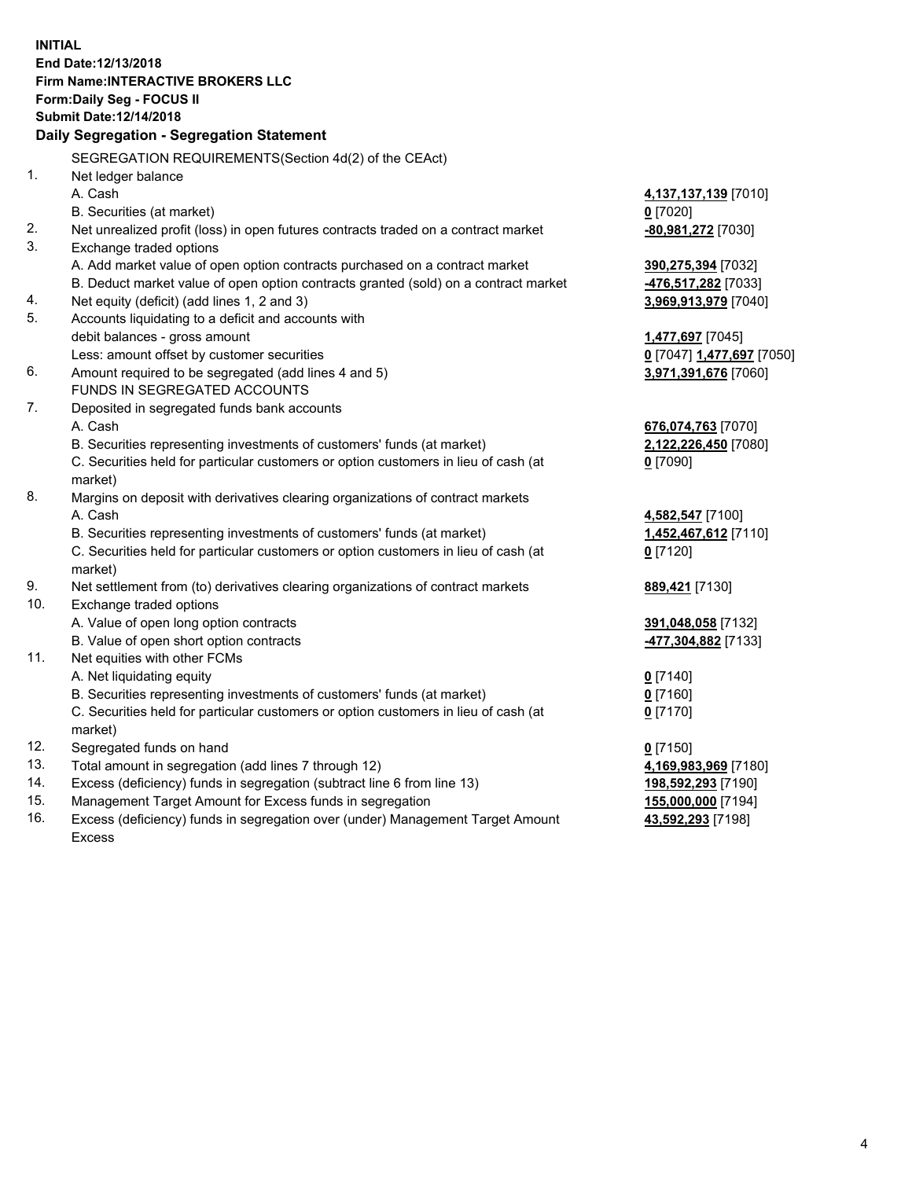**INITIAL End Date:12/13/2018 Firm Name:INTERACTIVE BROKERS LLC Form:Daily Seg - FOCUS II Submit Date:12/14/2018 Daily Segregation - Segregation Statement** SEGREGATION REQUIREMENTS(Section 4d(2) of the CEAct) 1. Net ledger balance A. Cash **4,137,137,139** [7010] B. Securities (at market) **0** [7020] 2. Net unrealized profit (loss) in open futures contracts traded on a contract market **-80,981,272** [7030] 3. Exchange traded options A. Add market value of open option contracts purchased on a contract market **390,275,394** [7032] B. Deduct market value of open option contracts granted (sold) on a contract market **-476,517,282** [7033] 4. Net equity (deficit) (add lines 1, 2 and 3) **3,969,913,979** [7040] 5. Accounts liquidating to a deficit and accounts with debit balances - gross amount **1,477,697** [7045] Less: amount offset by customer securities **0** [7047] **1,477,697** [7050] 6. Amount required to be segregated (add lines 4 and 5) **3,971,391,676** [7060] FUNDS IN SEGREGATED ACCOUNTS 7. Deposited in segregated funds bank accounts A. Cash **676,074,763** [7070] B. Securities representing investments of customers' funds (at market) **2,122,226,450** [7080] C. Securities held for particular customers or option customers in lieu of cash (at market) **0** [7090] 8. Margins on deposit with derivatives clearing organizations of contract markets A. Cash **4,582,547** [7100] B. Securities representing investments of customers' funds (at market) **1,452,467,612** [7110] C. Securities held for particular customers or option customers in lieu of cash (at market) **0** [7120] 9. Net settlement from (to) derivatives clearing organizations of contract markets **889,421** [7130] 10. Exchange traded options A. Value of open long option contracts **391,048,058** [7132] B. Value of open short option contracts **-477,304,882** [7133] 11. Net equities with other FCMs A. Net liquidating equity **0** [7140] B. Securities representing investments of customers' funds (at market) **0** [7160] C. Securities held for particular customers or option customers in lieu of cash (at market) **0** [7170] 12. Segregated funds on hand **0** [7150] 13. Total amount in segregation (add lines 7 through 12) **4,169,983,969** [7180] 14. Excess (deficiency) funds in segregation (subtract line 6 from line 13) **198,592,293** [7190] 15. Management Target Amount for Excess funds in segregation **155,000,000** [7194] **43,592,293** [7198]

16. Excess (deficiency) funds in segregation over (under) Management Target Amount Excess